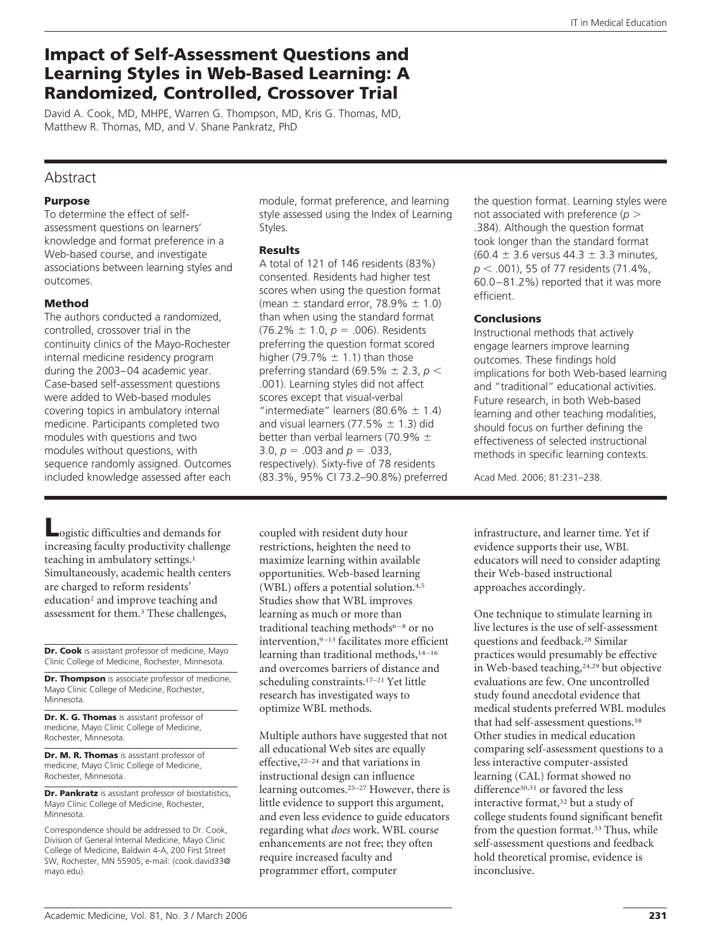# **Impact of Self-Assessment Questions and Learning Styles in Web-Based Learning: A Randomized, Controlled, Crossover Trial**

David A. Cook, MD, MHPE, Warren G. Thompson, MD, Kris G. Thomas, MD, Matthew R. Thomas, MD, and V. Shane Pankratz, PhD

# Abstract

## **Purpose**

To determine the effect of selfassessment questions on learners' knowledge and format preference in a Web-based course, and investigate associations between learning styles and outcomes.

## **Method**

The authors conducted a randomized, controlled, crossover trial in the continuity clinics of the Mayo-Rochester internal medicine residency program during the 2003– 04 academic year. Case-based self-assessment questions were added to Web-based modules covering topics in ambulatory internal medicine. Participants completed two modules with questions and two modules without questions, with sequence randomly assigned. Outcomes included knowledge assessed after each

**L**ogistic difficulties and demands for increasing faculty productivity challenge teaching in ambulatory settings.<sup>1</sup> Simultaneously, academic health centers are charged to reform residents' education<sup>2</sup> and improve teaching and assessment for them.3 These challenges,

**Dr. Cook** is assistant professor of medicine, Mayo Clinic College of Medicine, Rochester, Minnesota.

**Dr. Thompson** is associate professor of medicine, Mayo Clinic College of Medicine, Rochester, Minnesota.

**Dr. K. G. Thomas** is assistant professor of medicine, Mayo Clinic College of Medicine, Rochester, Minnesota.

**Dr. M. R. Thomas** is assistant professor of medicine, Mayo Clinic College of Medicine, Rochester, Minnesota.

**Dr. Pankratz** is assistant professor of biostatistics, Mayo Clinic College of Medicine, Rochester, Minnesota.

Correspondence should be addressed to Dr. Cook, Division of General Internal Medicine, Mayo Clinic College of Medicine, Baldwin 4-A, 200 First Street SW, Rochester, MN 55905; e-mail: (cook.david33@ mayo.edu).

module, format preference, and learning style assessed using the Index of Learning Styles.

## **Results**

A total of 121 of 146 residents (83%) consented. Residents had higher test scores when using the question format (mean  $\pm$  standard error, 78.9%  $\pm$  1.0) than when using the standard format  $(76.2\% \pm 1.0, p = .006)$ . Residents preferring the question format scored higher (79.7%  $\pm$  1.1) than those preferring standard (69.5%  $\pm$  2.3, *p* < .001). Learning styles did not affect scores except that visual-verbal "intermediate" learners  $(80.6\% \pm 1.4)$ and visual learners (77.5%  $\pm$  1.3) did better than verbal learners (70.9%  $\pm$ 3.0,  $p = 0.003$  and  $p = 0.033$ , respectively). Sixty-five of 78 residents (83.3%, 95% CI 73.2–90.8%) preferred

coupled with resident duty hour restrictions, heighten the need to maximize learning within available opportunities. Web-based learning (WBL) offers a potential solution.4,5 Studies show that WBL improves learning as much or more than traditional teaching methods $6-8$  or no intervention, 9-13 facilitates more efficient learning than traditional methods,<sup>14-16</sup> and overcomes barriers of distance and scheduling constraints.17–21 Yet little research has investigated ways to optimize WBL methods.

Multiple authors have suggested that not all educational Web sites are equally effective,22–24 and that variations in instructional design can influence learning outcomes.25–27 However, there is little evidence to support this argument, and even less evidence to guide educators regarding what *does* work. WBL course enhancements are not free; they often require increased faculty and programmer effort, computer

the question format. Learning styles were not associated with preference (*p* .384). Although the question format took longer than the standard format  $(60.4 \pm 3.6 \text{ versus } 44.3 \pm 3.3 \text{ minutes})$ *p* .001), 55 of 77 residents (71.4%, 60.0 – 81.2%) reported that it was more efficient.

## **Conclusions**

Instructional methods that actively engage learners improve learning outcomes. These findings hold implications for both Web-based learning and "traditional" educational activities. Future research, in both Web-based learning and other teaching modalities, should focus on further defining the effectiveness of selected instructional methods in specific learning contexts.

Acad Med. 2006; 81:231–238.

infrastructure, and learner time. Yet if evidence supports their use, WBL educators will need to consider adapting their Web-based instructional approaches accordingly.

One technique to stimulate learning in live lectures is the use of self-assessment questions and feedback.28 Similar practices would presumably be effective in Web-based teaching,24,29 but objective evaluations are few. One uncontrolled study found anecdotal evidence that medical students preferred WBL modules that had self-assessment questions.18 Other studies in medical education comparing self-assessment questions to a less interactive computer-assisted learning (CAL) format showed no difference<sup>30,31</sup> or favored the less interactive format,32 but a study of college students found significant benefit from the question format.<sup>33</sup> Thus, while self-assessment questions and feedback hold theoretical promise, evidence is inconclusive.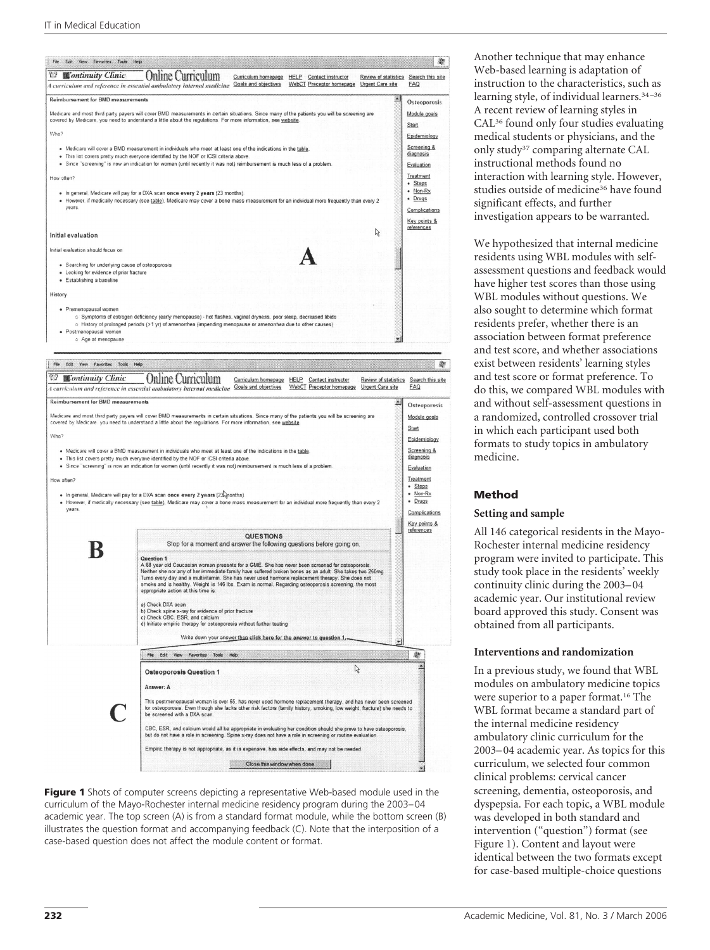| Edit<br>File<br>View<br>Favorites<br>Tools                                                                                                                                                                                                                                                                                        | Help                                                                                                                                                                                                                                                                                                                                                                                                                                                                     |                                                           |                                                    |  |
|-----------------------------------------------------------------------------------------------------------------------------------------------------------------------------------------------------------------------------------------------------------------------------------------------------------------------------------|--------------------------------------------------------------------------------------------------------------------------------------------------------------------------------------------------------------------------------------------------------------------------------------------------------------------------------------------------------------------------------------------------------------------------------------------------------------------------|-----------------------------------------------------------|----------------------------------------------------|--|
| 73<br>Clinic                                                                                                                                                                                                                                                                                                                      | Online Curriculum<br>Curriculum homepage HELP Contact instructor<br>1 curriculum and reference in essential ambulatory internal medicine <sup>Goals</sup> and objectives<br>WebCT Preceptor homepage                                                                                                                                                                                                                                                                     | Review of statistics Search this site<br>Urgent Care site | EAQ                                                |  |
| <b>Reimbursement for BMD measurements</b>                                                                                                                                                                                                                                                                                         |                                                                                                                                                                                                                                                                                                                                                                                                                                                                          |                                                           | Osteoporosis                                       |  |
| Medicare and most third party payers will cover BMD measurements in certain situations. Since many of the patients you will be screening are<br>covered by Medicare, you need to understand a little about the regulations. For more information, see website.                                                                    |                                                                                                                                                                                                                                                                                                                                                                                                                                                                          |                                                           |                                                    |  |
| Who?                                                                                                                                                                                                                                                                                                                              |                                                                                                                                                                                                                                                                                                                                                                                                                                                                          |                                                           | Start<br>Epidemiology                              |  |
| . Medicare will cover a BMD measurement in individuals who meet at least one of the indications in the table.<br>. This list covers pretty much everyone identified by the NOF or ICSI criteria above.<br>. Since "screening" is now an indication for women (until recently it was not) reimbursement is much less of a problem. |                                                                                                                                                                                                                                                                                                                                                                                                                                                                          |                                                           |                                                    |  |
| How often?                                                                                                                                                                                                                                                                                                                        |                                                                                                                                                                                                                                                                                                                                                                                                                                                                          |                                                           | Treatment<br>· Steps                               |  |
| . In general, Medicare will pay for a DXA scan once every 2 years (23 months)<br>. However, if medically necessary (see table), Medicare may cover a bone mass measurement for an individual more frequently than every 2<br>years.                                                                                               |                                                                                                                                                                                                                                                                                                                                                                                                                                                                          |                                                           |                                                    |  |
| Initial evaluation                                                                                                                                                                                                                                                                                                                |                                                                                                                                                                                                                                                                                                                                                                                                                                                                          | R                                                         | references                                         |  |
| Initial evaluation should focus on                                                                                                                                                                                                                                                                                                |                                                                                                                                                                                                                                                                                                                                                                                                                                                                          |                                                           |                                                    |  |
| • Searching for underlying cause of osteoporosis                                                                                                                                                                                                                                                                                  |                                                                                                                                                                                                                                                                                                                                                                                                                                                                          |                                                           |                                                    |  |
| . Looking for evidence of prior fracture<br>· Establishing a baseline                                                                                                                                                                                                                                                             |                                                                                                                                                                                                                                                                                                                                                                                                                                                                          |                                                           |                                                    |  |
| History                                                                                                                                                                                                                                                                                                                           |                                                                                                                                                                                                                                                                                                                                                                                                                                                                          |                                                           |                                                    |  |
| · Premenopausal women<br>· Postmenopausal women                                                                                                                                                                                                                                                                                   | o Symptoms of estrogen deficiency (early menopause) - hot flashes, vaginal dryness, poor sleep, decreased libido<br>o History of prolonged periods (>1 yr) of amenorrhea (impending menopause or amenorrhea due to other causes)                                                                                                                                                                                                                                         |                                                           |                                                    |  |
| o Age at menopause                                                                                                                                                                                                                                                                                                                |                                                                                                                                                                                                                                                                                                                                                                                                                                                                          |                                                           |                                                    |  |
|                                                                                                                                                                                                                                                                                                                                   |                                                                                                                                                                                                                                                                                                                                                                                                                                                                          |                                                           |                                                    |  |
| Edit<br>View<br>Favorites<br>Tools                                                                                                                                                                                                                                                                                                | Heb                                                                                                                                                                                                                                                                                                                                                                                                                                                                      |                                                           |                                                    |  |
| 77<br>Clinic                                                                                                                                                                                                                                                                                                                      | Online Curriculum<br>Curriculum homepage<br><b>HELP</b><br>Contact instructor<br>A curriculum and reference in essential ambulatory internal medicine Goals and objectives<br>WebCT Preceptor homepage                                                                                                                                                                                                                                                                   | Review of statistics<br>Urgent Care site                  | Search this site<br><b>FAQ</b>                     |  |
| <b>Reimbursement for BMD measurements</b>                                                                                                                                                                                                                                                                                         |                                                                                                                                                                                                                                                                                                                                                                                                                                                                          | ≝                                                         |                                                    |  |
|                                                                                                                                                                                                                                                                                                                                   | Medicare and most third party payers will cover BMD measurements in certain situations. Since many of the patients you will be screening are                                                                                                                                                                                                                                                                                                                             |                                                           | <b>Osteoporosis</b><br>Module goals                |  |
|                                                                                                                                                                                                                                                                                                                                   | covered by Medicare, you need to understand a little about the regulations. For more information, see website                                                                                                                                                                                                                                                                                                                                                            |                                                           | Start                                              |  |
| Who?                                                                                                                                                                                                                                                                                                                              |                                                                                                                                                                                                                                                                                                                                                                                                                                                                          |                                                           | Epidemiology                                       |  |
|                                                                                                                                                                                                                                                                                                                                   | . Medicare will cover a BMD measurement in individuals who meet at least one of the indications in the table.<br>. This list covers pretty much everyone identified by the NOF or ICSI criteria above.<br>. Since "screening" is now an indication for women (until recently it was not) reimbursement is much less of a problem.                                                                                                                                        |                                                           | Screening &<br>diagnosis<br>Evaluation             |  |
| How often?                                                                                                                                                                                                                                                                                                                        |                                                                                                                                                                                                                                                                                                                                                                                                                                                                          |                                                           | Treatment<br><b>Steps</b>                          |  |
| years                                                                                                                                                                                                                                                                                                                             | • In general, Medicare will pay for a DXA scan once every 2 years (23 months).<br>• However, if medically necessary (see table), Medicare may cover a bone mass measurement for an individual more frequently than every 2                                                                                                                                                                                                                                               |                                                           | Non-Rx<br>· Drugs<br>Complications<br>Key points & |  |
|                                                                                                                                                                                                                                                                                                                                   | <b>QUESTIONS</b><br>Stop for a moment and answer the following questions before going on.                                                                                                                                                                                                                                                                                                                                                                                |                                                           | references                                         |  |
|                                                                                                                                                                                                                                                                                                                                   | Question 1<br>A 68 year old Caucasian woman presents for a GME. She has never been screened for osteoporosis<br>Neither she nor any of her immediate family have suffered broken bones as an adult. She takes two 250mg<br>Tums every day and a multivitamin. She has never used hormone replacement therapy. She does not<br>smoke and is healthy. Weight is 146 lbs. Exam is normal. Regarding osteoporosis screening, the most<br>appropriate action at this time is: |                                                           |                                                    |  |
|                                                                                                                                                                                                                                                                                                                                   | a) Check DXA scan<br>b) Check spine x-ray for evidence of prior fracture<br>c) Check CBC, ESR, and calcium<br>d) initiate empiric therapy for osteoporosis without further testing                                                                                                                                                                                                                                                                                       |                                                           |                                                    |  |
|                                                                                                                                                                                                                                                                                                                                   | Write down your answer then click here for the answer to question 1.                                                                                                                                                                                                                                                                                                                                                                                                     |                                                           |                                                    |  |
|                                                                                                                                                                                                                                                                                                                                   | Fée<br>Edit View Favorites<br>Tools<br>Help                                                                                                                                                                                                                                                                                                                                                                                                                              |                                                           | 涨                                                  |  |
|                                                                                                                                                                                                                                                                                                                                   | <b>Osteoporosis Question 1</b>                                                                                                                                                                                                                                                                                                                                                                                                                                           | $\beta$                                                   | ×                                                  |  |
|                                                                                                                                                                                                                                                                                                                                   |                                                                                                                                                                                                                                                                                                                                                                                                                                                                          |                                                           |                                                    |  |
|                                                                                                                                                                                                                                                                                                                                   | Answer: A<br>This postmenopausal woman is over 65, has never used hormone replacement therapy, and has never been screened<br>for osteoporosis. Even though she lacks other risk factors (family history, smoking, low weight, fracture) she needs to                                                                                                                                                                                                                    |                                                           |                                                    |  |
|                                                                                                                                                                                                                                                                                                                                   | be screened with a DXA scan.                                                                                                                                                                                                                                                                                                                                                                                                                                             |                                                           |                                                    |  |
|                                                                                                                                                                                                                                                                                                                                   | CBC, ESR, and calcium would all be appropriate in evaluating her condition should she prove to have osteoporosis,<br>but do not have a role in screening. Spine x-ray does not have a role in screening or routine evaluation.                                                                                                                                                                                                                                           |                                                           |                                                    |  |
|                                                                                                                                                                                                                                                                                                                                   | Empiric therapy is not appropriate, as it is expensive, has side effects, and may not be needed.                                                                                                                                                                                                                                                                                                                                                                         |                                                           |                                                    |  |

**Figure 1** Shots of computer screens depicting a representative Web-based module used in the curriculum of the Mayo-Rochester internal medicine residency program during the 2003– 04 academic year. The top screen (A) is from a standard format module, while the bottom screen (B) illustrates the question format and accompanying feedback (C). Note that the interposition of a case-based question does not affect the module content or format.

Another technique that may enhance Web-based learning is adaptation of instruction to the characteristics, such as learning style, of individual learners.34 –36 A recent review of learning styles in CAL36 found only four studies evaluating medical students or physicians, and the only study37 comparing alternate CAL instructional methods found no interaction with learning style. However, studies outside of medicine<sup>36</sup> have found significant effects, and further investigation appears to be warranted.

We hypothesized that internal medicine residents using WBL modules with selfassessment questions and feedback would have higher test scores than those using WBL modules without questions. We also sought to determine which format residents prefer, whether there is an association between format preference and test score, and whether associations exist between residents' learning styles and test score or format preference. To do this, we compared WBL modules with and without self-assessment questions in a randomized, controlled crossover trial in which each participant used both formats to study topics in ambulatory medicine.

## **Method**

#### **Setting and sample**

All 146 categorical residents in the Mayo-Rochester internal medicine residency program were invited to participate. This study took place in the residents' weekly continuity clinic during the 2003–04 academic year. Our institutional review board approved this study. Consent was obtained from all participants.

## **Interventions and randomization**

In a previous study, we found that WBL modules on ambulatory medicine topics were superior to a paper format.16 The WBL format became a standard part of the internal medicine residency ambulatory clinic curriculum for the 2003–04 academic year. As topics for this curriculum, we selected four common clinical problems: cervical cancer screening, dementia, osteoporosis, and dyspepsia. For each topic, a WBL module was developed in both standard and intervention ("question") format (see Figure 1). Content and layout were identical between the two formats except for case-based multiple-choice questions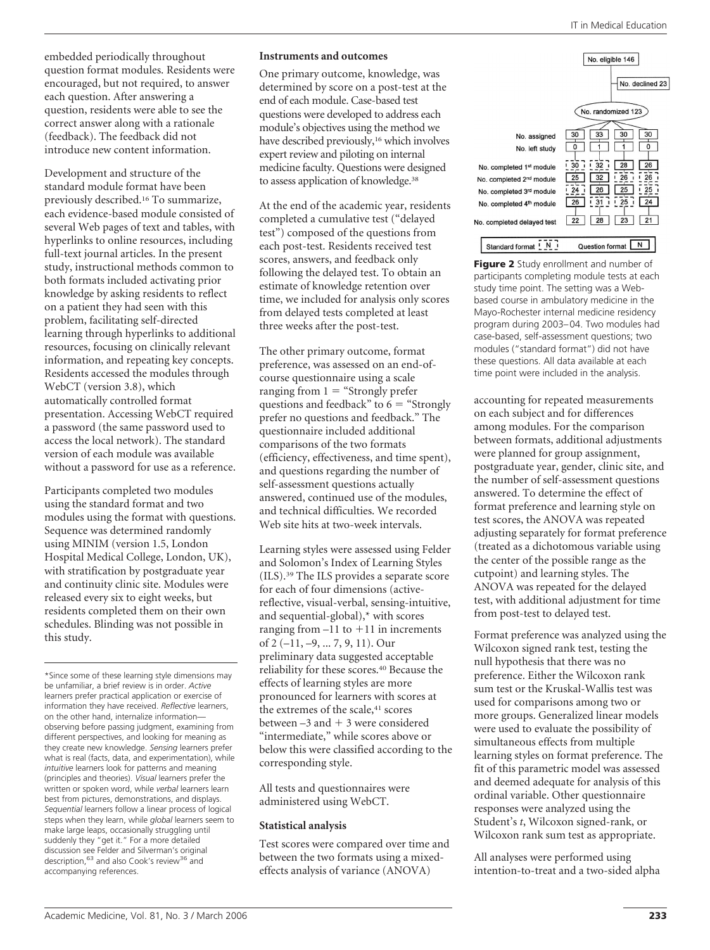embedded periodically throughout question format modules. Residents were encouraged, but not required, to answer each question. After answering a question, residents were able to see the correct answer along with a rationale (feedback). The feedback did not introduce new content information.

Development and structure of the standard module format have been previously described.16 To summarize, each evidence-based module consisted of several Web pages of text and tables, with hyperlinks to online resources, including full-text journal articles. In the present study, instructional methods common to both formats included activating prior knowledge by asking residents to reflect on a patient they had seen with this problem, facilitating self-directed learning through hyperlinks to additional resources, focusing on clinically relevant information, and repeating key concepts. Residents accessed the modules through WebCT (version 3.8), which automatically controlled format presentation. Accessing WebCT required a password (the same password used to access the local network). The standard version of each module was available without a password for use as a reference.

Participants completed two modules using the standard format and two modules using the format with questions. Sequence was determined randomly using MINIM (version 1.5, London Hospital Medical College, London, UK), with stratification by postgraduate year and continuity clinic site. Modules were released every six to eight weeks, but residents completed them on their own schedules. Blinding was not possible in this study.

\*Since some of these learning style dimensions may be unfamiliar, a brief review is in order. *Active* learners prefer practical application or exercise of information they have received. *Reflective* learners, on the other hand, internalize information observing before passing judgment, examining from different perspectives, and looking for meaning as they create new knowledge. *Sensing* learners prefer what is real (facts, data, and experimentation), while *intuitive* learners look for patterns and meaning (principles and theories). *Visual* learners prefer the written or spoken word, while *verbal* learners learn best from pictures, demonstrations, and displays. *Sequential* learners follow a linear process of logical steps when they learn, while *global* learners seem to make large leaps, occasionally struggling until suddenly they "get it." For a more detailed discussion see Felder and Silverman's original description, <sup>63</sup> and also Cook's review<sup>36</sup> and accompanying references.

#### **Instruments and outcomes**

One primary outcome, knowledge, was determined by score on a post-test at the end of each module. Case-based test questions were developed to address each module's objectives using the method we have described previously,<sup>16</sup> which involves expert review and piloting on internal medicine faculty. Questions were designed to assess application of knowledge.<sup>38</sup>

At the end of the academic year, residents completed a cumulative test ("delayed test") composed of the questions from each post-test. Residents received test scores, answers, and feedback only following the delayed test. To obtain an estimate of knowledge retention over time, we included for analysis only scores from delayed tests completed at least three weeks after the post-test.

The other primary outcome, format preference, was assessed on an end-ofcourse questionnaire using a scale ranging from  $1$  = "Strongly prefer questions and feedback" to  $6 =$  "Strongly prefer no questions and feedback." The questionnaire included additional comparisons of the two formats (efficiency, effectiveness, and time spent), and questions regarding the number of self-assessment questions actually answered, continued use of the modules, and technical difficulties. We recorded Web site hits at two-week intervals.

Learning styles were assessed using Felder and Solomon's Index of Learning Styles (ILS).39 The ILS provides a separate score for each of four dimensions (activereflective, visual-verbal, sensing-intuitive, and sequential-global),\* with scores ranging from  $-11$  to  $+11$  in increments of 2 (–11, –9, ... 7, 9, 11). Our preliminary data suggested acceptable reliability for these scores.40 Because the effects of learning styles are more pronounced for learners with scores at the extremes of the scale,<sup>41</sup> scores between  $-3$  and  $+3$  were considered "intermediate," while scores above or below this were classified according to the corresponding style.

All tests and questionnaires were administered using WebCT.

## **Statistical analysis**

Test scores were compared over time and between the two formats using a mixedeffects analysis of variance (ANOVA)



**Figure 2** Study enrollment and number of participants completing module tests at each study time point. The setting was a Webbased course in ambulatory medicine in the Mayo-Rochester internal medicine residency program during 2003– 04. Two modules had case-based, self-assessment questions; two modules ("standard format") did not have these questions. All data available at each time point were included in the analysis.

accounting for repeated measurements on each subject and for differences among modules. For the comparison between formats, additional adjustments were planned for group assignment, postgraduate year, gender, clinic site, and the number of self-assessment questions answered. To determine the effect of format preference and learning style on test scores, the ANOVA was repeated adjusting separately for format preference (treated as a dichotomous variable using the center of the possible range as the cutpoint) and learning styles. The ANOVA was repeated for the delayed test, with additional adjustment for time from post-test to delayed test.

Format preference was analyzed using the Wilcoxon signed rank test, testing the null hypothesis that there was no preference. Either the Wilcoxon rank sum test or the Kruskal-Wallis test was used for comparisons among two or more groups. Generalized linear models were used to evaluate the possibility of simultaneous effects from multiple learning styles on format preference. The fit of this parametric model was assessed and deemed adequate for analysis of this ordinal variable. Other questionnaire responses were analyzed using the Student's *t*, Wilcoxon signed-rank, or Wilcoxon rank sum test as appropriate.

All analyses were performed using intention-to-treat and a two-sided alpha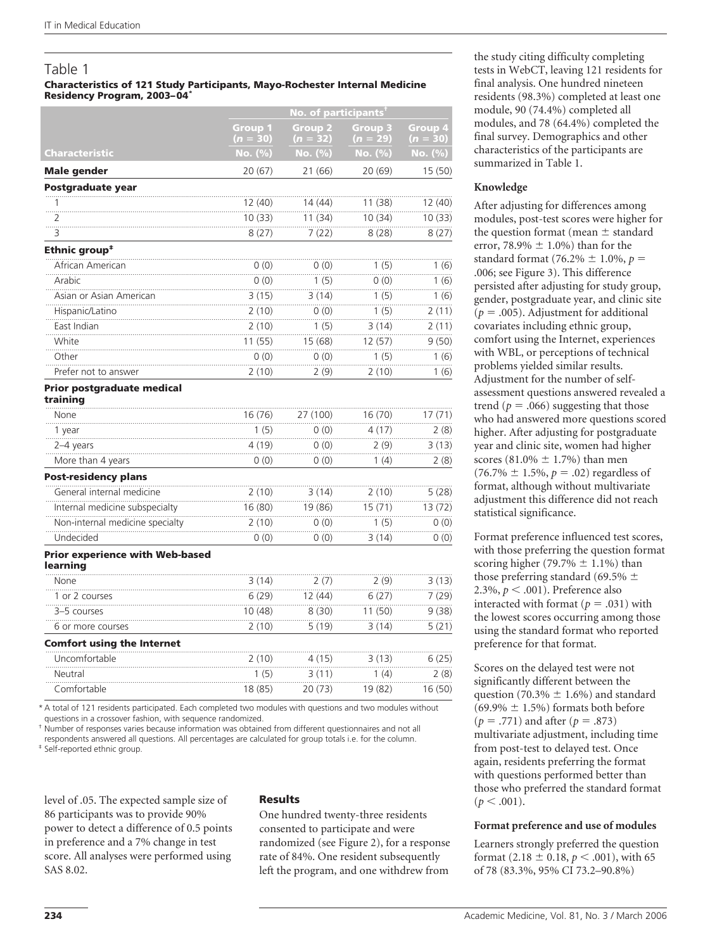# Table 1

**Characteristics of 121 Study Participants, Mayo-Rochester Internal Medicine Residency Program, 2003–04\***

|                                                    | No. of participants <sup>†</sup> |            |            |            |
|----------------------------------------------------|----------------------------------|------------|------------|------------|
|                                                    | Group 1                          | Group 2    | Group 3    | Group 4    |
|                                                    | $(n = 30)$                       | $(n = 32)$ | $(n = 29)$ | $(n = 30)$ |
| Characteristic                                     | No. (%)                          | No. (%)    | No. (%)    | No. (%)    |
| <b>Male gender</b>                                 | 20(67)                           | 21 (66)    | 20 (69)    | 15 (50)    |
| Postgraduate year                                  |                                  |            |            |            |
| 1                                                  | 12 (40)                          | 14 (44)    | 11 (38)    | 12 (40)    |
| $\dddot{\overline{2}}$                             | 10(33)                           | 11(34)     | 10(34)     | 10(33)     |
| $\dddot{3}$                                        | 8(27)                            | 7 (22)     | 8(28)      | 8(27)      |
| Ethnic group <sup>#</sup>                          |                                  |            |            |            |
| African American                                   | 0(0)                             | 0(0)       | 1(5)       | 1(6)       |
| Arabic                                             | 0(0)                             | 1(5)       | 0(0)       | 1(6)       |
| Asian or Asian American                            | 3(15)                            | 3 (14)     | 1(5)       | 1(6)       |
| Hispanic/Latino                                    | 2(10)                            | 0(0)       | 1(5)       | 2(11)      |
| East Indian                                        | 2(10)                            | 1(5)       | 3 (14)     | 2(11)      |
| White                                              | 11 (55)                          | 15 (68)    | 12 (57)    | 9(50)      |
| Other                                              | 0(0)                             | 0(0)       | 1(5)       | 1(6)       |
| Prefer not to answer                               | 2(10)                            | 2(9)       | 2(10)      | 1(6)       |
| Prior postgraduate medical<br>training             |                                  |            |            |            |
| None                                               | 16 (76)                          | 27 (100)   | 16 (70)    | 17 (71)    |
| 1 year                                             | 1(5)                             | 0(0)       | 4(17)      | 2(8)       |
| 2-4 years                                          | 4(19)                            | 0(0)       | 2(9)       | 3(13)      |
| More than 4 years                                  | 0(0)                             | 0(0)       | 1(4)       | 2(8)       |
| <b>Post-residency plans</b>                        |                                  |            |            |            |
| General internal medicine                          | 2(10)                            | 3 (14)     | 2(10)      | 5(28)      |
| Internal medicine subspecialty                     | 16 (80)                          | 19 (86)    | 15(71)     | 13(72)     |
| Non-internal medicine specialty                    | 2(10)                            | 0(0)       | 1(5)       | 0(0)       |
| Undecided                                          | 0(0)                             | 0(0)       | 3(14)      | 0(0)       |
| <b>Prior experience with Web-based</b><br>learning |                                  |            |            |            |
| None                                               | 3(14)                            | 2 (7)      | 2(9)       | 3(13)      |
| 1 or 2 courses                                     | 6(29)                            | 12 (44)    | 6(27)      | 7(29)      |
| 3-5 courses                                        | 10(48)                           | 8(30)      | 11(50)     | 9(38)      |
| 6 or more courses                                  | 2(10)                            | 5(19)      | 3(14)      | 5(21)      |
| <b>Comfort using the Internet</b>                  |                                  |            |            |            |
| Uncomfortable                                      | 2(10)                            | 4(15)      | 3(13)      | 6(25)      |
| Neutral                                            | 1(5)                             | 3(11)      | 1(4)       | 2(8)       |
| Comfortable                                        | 18 (85)                          | 20(73)     | 19 (82)    | 16(50)     |

\* A total of 121 residents participated. Each completed two modules with questions and two modules without questions in a crossover fashion, with sequence randomized.

† Number of responses varies because information was obtained from different questionnaires and not all respondents answered all questions. All percentages are calculated for group totals i.e. for the column.

‡ Self-reported ethnic group.

level of .05. The expected sample size of 86 participants was to provide 90% power to detect a difference of 0.5 points in preference and a 7% change in test score. All analyses were performed using SAS 8.02.

## **Results**

One hundred twenty-three residents consented to participate and were randomized (see Figure 2), for a response rate of 84%. One resident subsequently left the program, and one withdrew from

the study citing difficulty completing tests in WebCT, leaving 121 residents for final analysis. One hundred nineteen residents (98.3%) completed at least one module, 90 (74.4%) completed all modules, and 78 (64.4%) completed the final survey. Demographics and other characteristics of the participants are summarized in Table 1.

## **Knowledge**

After adjusting for differences among modules, post-test scores were higher for the question format (mean  $\pm$  standard error, 78.9%  $\pm$  1.0%) than for the standard format (76.2%  $\pm$  1.0%,  $p =$ .006; see Figure 3). This difference persisted after adjusting for study group, gender, postgraduate year, and clinic site  $(p = .005)$ . Adjustment for additional covariates including ethnic group, comfort using the Internet, experiences with WBL, or perceptions of technical problems yielded similar results. Adjustment for the number of selfassessment questions answered revealed a trend ( $p = .066$ ) suggesting that those who had answered more questions scored higher. After adjusting for postgraduate year and clinic site, women had higher scores (81.0%  $\pm$  1.7%) than men  $(76.7\% \pm 1.5\%, p = .02)$  regardless of format, although without multivariate adjustment this difference did not reach statistical significance.

Format preference influenced test scores, with those preferring the question format scoring higher (79.7%  $\pm$  1.1%) than those preferring standard (69.5%  $\pm$ 2.3%,  $p < .001$ ). Preference also interacted with format ( $p = .031$ ) with the lowest scores occurring among those using the standard format who reported preference for that format.

Scores on the delayed test were not significantly different between the question (70.3%  $\pm$  1.6%) and standard  $(69.9\% \pm 1.5\%)$  formats both before  $(p = .771)$  and after  $(p = .873)$ multivariate adjustment, including time from post-test to delayed test. Once again, residents preferring the format with questions performed better than those who preferred the standard format  $(p < .001)$ .

## **Format preference and use of modules**

Learners strongly preferred the question format (2.18  $\pm$  0.18,  $p < .001$ ), with 65 of 78 (83.3%, 95% CI 73.2–90.8%)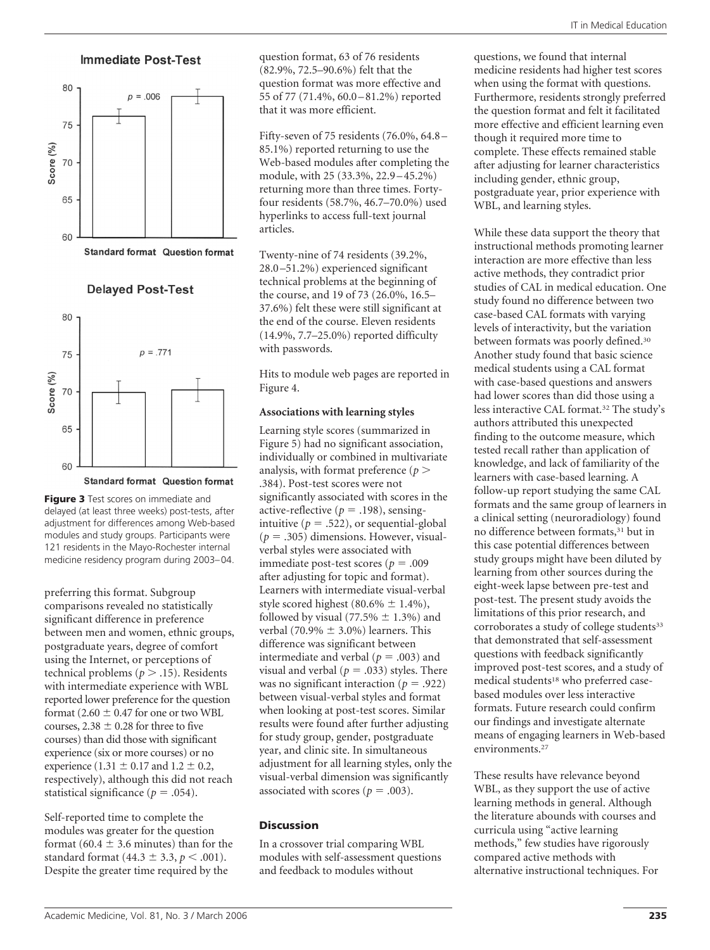#### **Immediate Post-Test**





**Delayed Post-Test** 



**Figure 3** Test scores on immediate and delayed (at least three weeks) post-tests, after adjustment for differences among Web-based modules and study groups. Participants were 121 residents in the Mayo-Rochester internal medicine residency program during 2003– 04.

preferring this format. Subgroup comparisons revealed no statistically significant difference in preference between men and women, ethnic groups, postgraduate years, degree of comfort using the Internet, or perceptions of technical problems ( $p > .15$ ). Residents with intermediate experience with WBL reported lower preference for the question format (2.60  $\pm$  0.47 for one or two WBL courses, 2.38  $\pm$  0.28 for three to five courses) than did those with significant experience (six or more courses) or no experience (1.31  $\pm$  0.17 and 1.2  $\pm$  0.2, respectively), although this did not reach statistical significance ( $p = .054$ ).

Self-reported time to complete the modules was greater for the question format (60.4  $\pm$  3.6 minutes) than for the standard format  $(44.3 \pm 3.3, p < .001)$ . Despite the greater time required by the

question format, 63 of 76 residents (82.9%, 72.5–90.6%) felt that the question format was more effective and 55 of 77 (71.4%, 60.0 –81.2%) reported that it was more efficient.

Fifty-seven of 75 residents (76.0%, 64.8 – 85.1%) reported returning to use the Web-based modules after completing the module, with 25 (33.3%, 22.9 –45.2%) returning more than three times. Fortyfour residents (58.7%, 46.7–70.0%) used hyperlinks to access full-text journal articles.

Twenty-nine of 74 residents (39.2%, 28.0 –51.2%) experienced significant technical problems at the beginning of the course, and 19 of 73 (26.0%, 16.5– 37.6%) felt these were still significant at the end of the course. Eleven residents (14.9%, 7.7–25.0%) reported difficulty with passwords.

Hits to module web pages are reported in Figure 4.

#### **Associations with learning styles**

Learning style scores (summarized in Figure 5) had no significant association, individually or combined in multivariate analysis, with format preference (*p* .384). Post-test scores were not significantly associated with scores in the active-reflective ( $p = .198$ ), sensingintuitive ( $p = .522$ ), or sequential-global  $(p = .305)$  dimensions. However, visualverbal styles were associated with immediate post-test scores ( $p = .009$ after adjusting for topic and format). Learners with intermediate visual-verbal style scored highest (80.6%  $\pm$  1.4%), followed by visual (77.5%  $\pm$  1.3%) and verbal (70.9%  $\pm$  3.0%) learners. This difference was significant between intermediate and verbal ( $p = .003$ ) and visual and verbal ( $p = .033$ ) styles. There was no significant interaction ( $p = .922$ ) between visual-verbal styles and format when looking at post-test scores. Similar results were found after further adjusting for study group, gender, postgraduate year, and clinic site. In simultaneous adjustment for all learning styles, only the visual-verbal dimension was significantly associated with scores ( $p = .003$ ).

## **Discussion**

In a crossover trial comparing WBL modules with self-assessment questions and feedback to modules without

questions, we found that internal medicine residents had higher test scores when using the format with questions. Furthermore, residents strongly preferred the question format and felt it facilitated more effective and efficient learning even though it required more time to complete. These effects remained stable after adjusting for learner characteristics including gender, ethnic group, postgraduate year, prior experience with WBL, and learning styles.

While these data support the theory that instructional methods promoting learner interaction are more effective than less active methods, they contradict prior studies of CAL in medical education. One study found no difference between two case-based CAL formats with varying levels of interactivity, but the variation between formats was poorly defined.30 Another study found that basic science medical students using a CAL format with case-based questions and answers had lower scores than did those using a less interactive CAL format.32 The study's authors attributed this unexpected finding to the outcome measure, which tested recall rather than application of knowledge, and lack of familiarity of the learners with case-based learning. A follow-up report studying the same CAL formats and the same group of learners in a clinical setting (neuroradiology) found no difference between formats,31 but in this case potential differences between study groups might have been diluted by learning from other sources during the eight-week lapse between pre-test and post-test. The present study avoids the limitations of this prior research, and corroborates a study of college students<sup>33</sup> that demonstrated that self-assessment questions with feedback significantly improved post-test scores, and a study of medical students<sup>18</sup> who preferred casebased modules over less interactive formats. Future research could confirm our findings and investigate alternate means of engaging learners in Web-based environments.<sup>27</sup>

These results have relevance beyond WBL, as they support the use of active learning methods in general. Although the literature abounds with courses and curricula using "active learning methods," few studies have rigorously compared active methods with alternative instructional techniques. For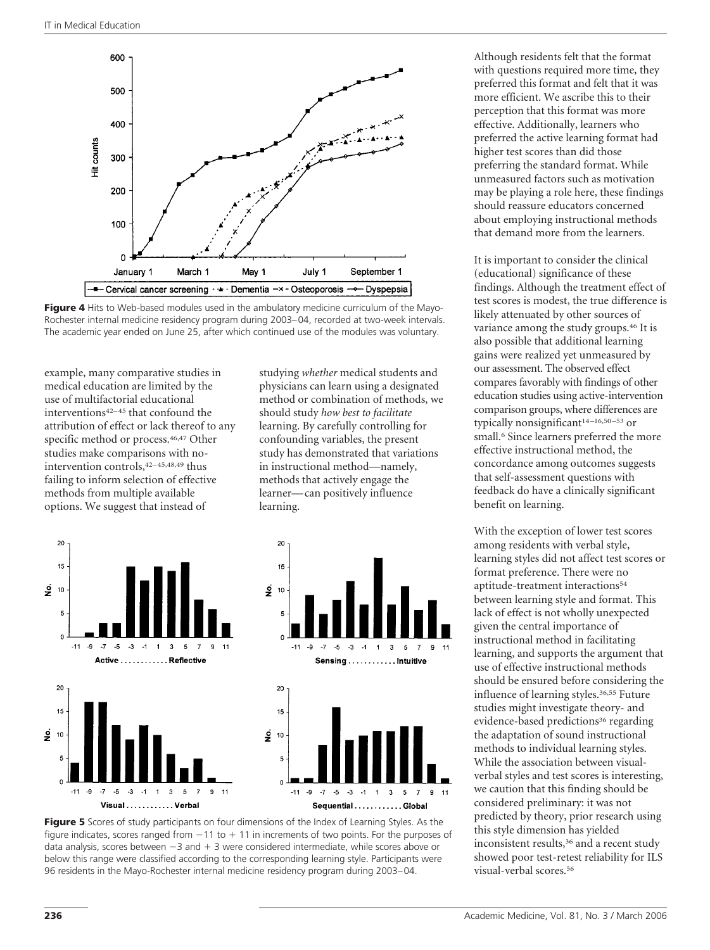

**Figure 4** Hits to Web-based modules used in the ambulatory medicine curriculum of the Mayo-Rochester internal medicine residency program during 2003– 04, recorded at two-week intervals. The academic year ended on June 25, after which continued use of the modules was voluntary.

example, many comparative studies in medical education are limited by the use of multifactorial educational interventions42–45 that confound the attribution of effect or lack thereof to any specific method or process.46,47 Other studies make comparisons with nointervention controls,42–45,48,49 thus failing to inform selection of effective methods from multiple available options. We suggest that instead of

studying *whether* medical students and physicians can learn using a designated method or combination of methods, we should study *how best to facilitate* learning. By carefully controlling for confounding variables, the present study has demonstrated that variations in instructional method—namely, methods that actively engage the learner— can positively influence learning.





Although residents felt that the format with questions required more time, they preferred this format and felt that it was more efficient. We ascribe this to their perception that this format was more effective. Additionally, learners who preferred the active learning format had higher test scores than did those preferring the standard format. While unmeasured factors such as motivation may be playing a role here, these findings should reassure educators concerned about employing instructional methods that demand more from the learners.

It is important to consider the clinical (educational) significance of these findings. Although the treatment effect of test scores is modest, the true difference is likely attenuated by other sources of variance among the study groups.46 It is also possible that additional learning gains were realized yet unmeasured by our assessment. The observed effect compares favorably with findings of other education studies using active-intervention comparison groups, where differences are typically nonsignificant<sup>14-16,50-53</sup> or small.<sup>6</sup> Since learners preferred the more effective instructional method, the concordance among outcomes suggests that self-assessment questions with feedback do have a clinically significant benefit on learning.

With the exception of lower test scores among residents with verbal style, learning styles did not affect test scores or format preference. There were no aptitude-treatment interactions<sup>54</sup> between learning style and format. This lack of effect is not wholly unexpected given the central importance of instructional method in facilitating learning, and supports the argument that use of effective instructional methods should be ensured before considering the influence of learning styles.<sup>36,55</sup> Future studies might investigate theory- and evidence-based predictions<sup>36</sup> regarding the adaptation of sound instructional methods to individual learning styles. While the association between visualverbal styles and test scores is interesting, we caution that this finding should be considered preliminary: it was not predicted by theory, prior research using this style dimension has yielded inconsistent results,<sup>36</sup> and a recent study showed poor test-retest reliability for ILS visual-verbal scores.<sup>56</sup>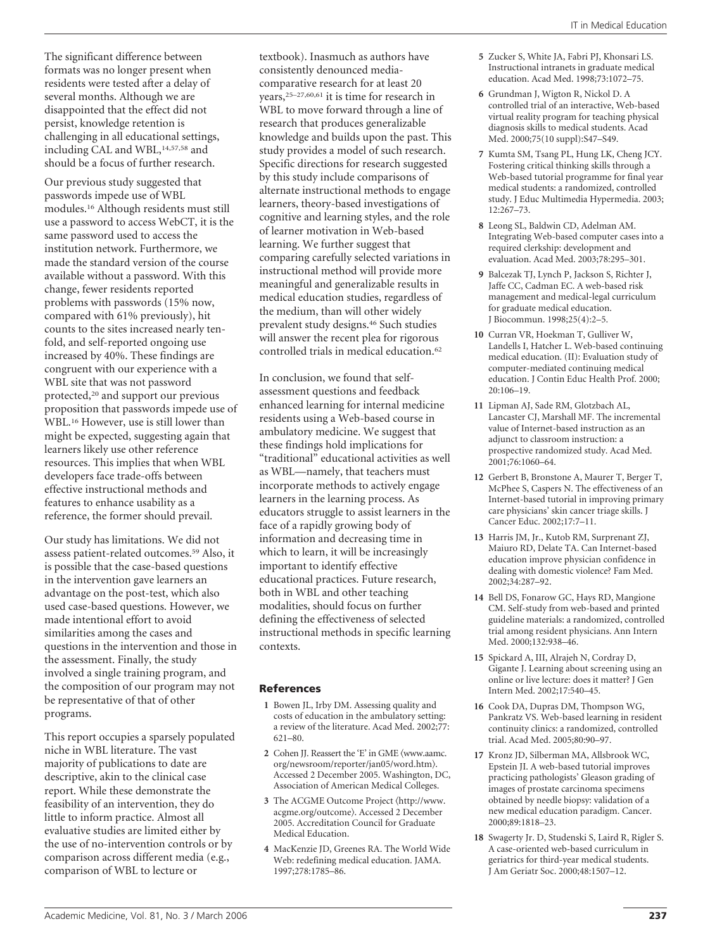The significant difference between formats was no longer present when residents were tested after a delay of several months. Although we are disappointed that the effect did not persist, knowledge retention is challenging in all educational settings, including CAL and WBL,<sup>14,57,58</sup> and should be a focus of further research.

Our previous study suggested that passwords impede use of WBL modules.16 Although residents must still use a password to access WebCT, it is the same password used to access the institution network. Furthermore, we made the standard version of the course available without a password. With this change, fewer residents reported problems with passwords (15% now, compared with 61% previously), hit counts to the sites increased nearly tenfold, and self-reported ongoing use increased by 40%. These findings are congruent with our experience with a WBL site that was not password protected,20 and support our previous proposition that passwords impede use of WBL.16 However, use is still lower than might be expected, suggesting again that learners likely use other reference resources. This implies that when WBL developers face trade-offs between effective instructional methods and features to enhance usability as a reference, the former should prevail.

Our study has limitations. We did not assess patient-related outcomes.59 Also, it is possible that the case-based questions in the intervention gave learners an advantage on the post-test, which also used case-based questions. However, we made intentional effort to avoid similarities among the cases and questions in the intervention and those in the assessment. Finally, the study involved a single training program, and the composition of our program may not be representative of that of other programs.

This report occupies a sparsely populated niche in WBL literature. The vast majority of publications to date are descriptive, akin to the clinical case report. While these demonstrate the feasibility of an intervention, they do little to inform practice. Almost all evaluative studies are limited either by the use of no-intervention controls or by comparison across different media (e.g., comparison of WBL to lecture or

textbook). Inasmuch as authors have consistently denounced mediacomparative research for at least 20 years,25–27,60,61 it is time for research in WBL to move forward through a line of research that produces generalizable knowledge and builds upon the past. This study provides a model of such research. Specific directions for research suggested by this study include comparisons of alternate instructional methods to engage learners, theory-based investigations of cognitive and learning styles, and the role of learner motivation in Web-based learning. We further suggest that comparing carefully selected variations in instructional method will provide more meaningful and generalizable results in medical education studies, regardless of the medium, than will other widely prevalent study designs.46 Such studies will answer the recent plea for rigorous controlled trials in medical education.62

In conclusion, we found that selfassessment questions and feedback enhanced learning for internal medicine residents using a Web-based course in ambulatory medicine. We suggest that these findings hold implications for "traditional" educational activities as well as WBL—namely, that teachers must incorporate methods to actively engage learners in the learning process. As educators struggle to assist learners in the face of a rapidly growing body of information and decreasing time in which to learn, it will be increasingly important to identify effective educational practices. Future research, both in WBL and other teaching modalities, should focus on further defining the effectiveness of selected instructional methods in specific learning contexts.

## **References**

- **1** Bowen JL, Irby DM. Assessing quality and costs of education in the ambulatory setting: a review of the literature. Acad Med. 2002;77: 621–80.
- 2 Cohen JJ. Reassert the 'E' in GME (www.aamc. org/newsroom/reporter/jan05/word.htm. Accessed 2 December 2005. Washington, DC, Association of American Medical Colleges.
- **3** The ACGME Outcome Project http://www. acgme.org/outcome). Accessed 2 December 2005. Accreditation Council for Graduate Medical Education.
- **4** MacKenzie JD, Greenes RA. The World Wide Web: redefining medical education. JAMA. 1997;278:1785–86.
- **5** Zucker S, White JA, Fabri PJ, Khonsari LS. Instructional intranets in graduate medical education. Acad Med. 1998;73:1072–75.
- **6** Grundman J, Wigton R, Nickol D. A controlled trial of an interactive, Web-based virtual reality program for teaching physical diagnosis skills to medical students. Acad Med. 2000;75(10 suppl):S47–S49.
- **7** Kumta SM, Tsang PL, Hung LK, Cheng JCY. Fostering critical thinking skills through a Web-based tutorial programme for final year medical students: a randomized, controlled study. J Educ Multimedia Hypermedia. 2003; 12:267–73.
- **8** Leong SL, Baldwin CD, Adelman AM. Integrating Web-based computer cases into a required clerkship: development and evaluation. Acad Med. 2003;78:295–301.
- **9** Balcezak TJ, Lynch P, Jackson S, Richter J, Jaffe CC, Cadman EC. A web-based risk management and medical-legal curriculum for graduate medical education. J Biocommun. 1998;25(4):2–5.
- **10** Curran VR, Hoekman T, Gulliver W, Landells I, Hatcher L. Web-based continuing medical education. (II): Evaluation study of computer-mediated continuing medical education. J Contin Educ Health Prof. 2000; 20:106–19.
- **11** Lipman AJ, Sade RM, Glotzbach AL, Lancaster CJ, Marshall MF. The incremental value of Internet-based instruction as an adjunct to classroom instruction: a prospective randomized study. Acad Med. 2001;76:1060–64.
- **12** Gerbert B, Bronstone A, Maurer T, Berger T, McPhee S, Caspers N. The effectiveness of an Internet-based tutorial in improving primary care physicians' skin cancer triage skills. J Cancer Educ. 2002;17:7–11.
- **13** Harris JM, Jr., Kutob RM, Surprenant ZJ, Maiuro RD, Delate TA. Can Internet-based education improve physician confidence in dealing with domestic violence? Fam Med. 2002;34:287–92.
- **14** Bell DS, Fonarow GC, Hays RD, Mangione CM. Self-study from web-based and printed guideline materials: a randomized, controlled trial among resident physicians. Ann Intern Med. 2000;132:938–46.
- **15** Spickard A, III, Alrajeh N, Cordray D, Gigante J. Learning about screening using an online or live lecture: does it matter? J Gen Intern Med. 2002;17:540–45.
- **16** Cook DA, Dupras DM, Thompson WG, Pankratz VS. Web-based learning in resident continuity clinics: a randomized, controlled trial. Acad Med. 2005;80:90–97.
- **17** Kronz JD, Silberman MA, Allsbrook WC, Epstein JI. A web-based tutorial improves practicing pathologists' Gleason grading of images of prostate carcinoma specimens obtained by needle biopsy: validation of a new medical education paradigm. Cancer. 2000;89:1818–23.
- **18** Swagerty Jr. D, Studenski S, Laird R, Rigler S. A case-oriented web-based curriculum in geriatrics for third-year medical students. J Am Geriatr Soc. 2000;48:1507–12.